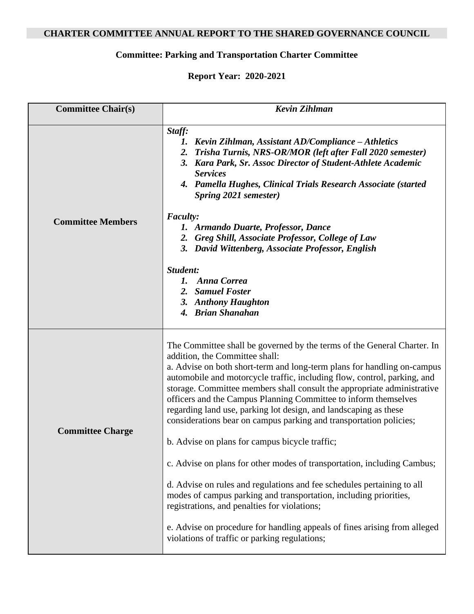## **CHARTER COMMITTEE ANNUAL REPORT TO THE SHARED GOVERNANCE COUNCIL**

## **Committee: Parking and Transportation Charter Committee**

## **Report Year: 2020-2021**

| <b>Committee Chair(s)</b> | <b>Kevin Zihlman</b>                                                                                                                                                                                                                                                                                                                                                                                                                                                                                                                                     |
|---------------------------|----------------------------------------------------------------------------------------------------------------------------------------------------------------------------------------------------------------------------------------------------------------------------------------------------------------------------------------------------------------------------------------------------------------------------------------------------------------------------------------------------------------------------------------------------------|
| <b>Committee Members</b>  | Staff:<br>Kevin Zihlman, Assistant AD/Compliance - Athletics<br>1.<br>2. Trisha Turnis, NRS-OR/MOR (left after Fall 2020 semester)<br>3. Kara Park, Sr. Assoc Director of Student-Athlete Academic<br><b>Services</b><br>4. Pamella Hughes, Clinical Trials Research Associate (started<br>Spring 2021 semester)                                                                                                                                                                                                                                         |
|                           | <b>Faculty:</b><br>1. Armando Duarte, Professor, Dance<br>2. Greg Shill, Associate Professor, College of Law<br>3. David Wittenberg, Associate Professor, English                                                                                                                                                                                                                                                                                                                                                                                        |
|                           | Student:<br>1. Anna Correa<br>2. Samuel Foster<br>3. Anthony Haughton<br>4. Brian Shanahan                                                                                                                                                                                                                                                                                                                                                                                                                                                               |
| <b>Committee Charge</b>   | The Committee shall be governed by the terms of the General Charter. In<br>addition, the Committee shall:<br>a. Advise on both short-term and long-term plans for handling on-campus<br>automobile and motorcycle traffic, including flow, control, parking, and<br>storage. Committee members shall consult the appropriate administrative<br>officers and the Campus Planning Committee to inform themselves<br>regarding land use, parking lot design, and landscaping as these<br>considerations bear on campus parking and transportation policies; |
|                           | b. Advise on plans for campus bicycle traffic;<br>c. Advise on plans for other modes of transportation, including Cambus;                                                                                                                                                                                                                                                                                                                                                                                                                                |
|                           | d. Advise on rules and regulations and fee schedules pertaining to all<br>modes of campus parking and transportation, including priorities,<br>registrations, and penalties for violations;                                                                                                                                                                                                                                                                                                                                                              |
|                           | e. Advise on procedure for handling appeals of fines arising from alleged<br>violations of traffic or parking regulations;                                                                                                                                                                                                                                                                                                                                                                                                                               |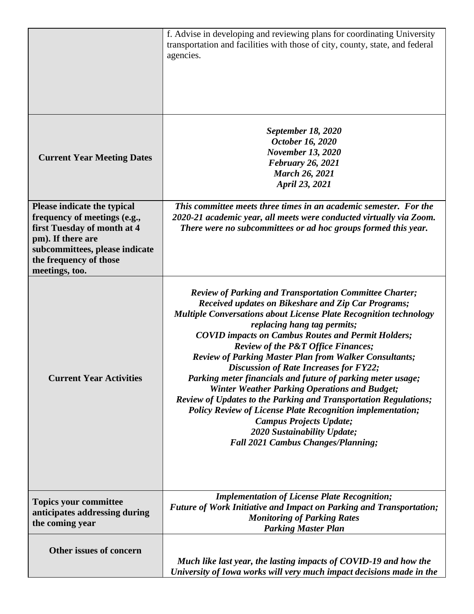|                                                                                                                                                                                               | f. Advise in developing and reviewing plans for coordinating University<br>transportation and facilities with those of city, county, state, and federal<br>agencies.                                                                                                                                                                                                                                                                                                                                                                                                                                                                                                                                                                                                                                                                           |
|-----------------------------------------------------------------------------------------------------------------------------------------------------------------------------------------------|------------------------------------------------------------------------------------------------------------------------------------------------------------------------------------------------------------------------------------------------------------------------------------------------------------------------------------------------------------------------------------------------------------------------------------------------------------------------------------------------------------------------------------------------------------------------------------------------------------------------------------------------------------------------------------------------------------------------------------------------------------------------------------------------------------------------------------------------|
| <b>Current Year Meeting Dates</b>                                                                                                                                                             | <b>September 18, 2020</b><br>October 16, 2020<br><b>November 13, 2020</b><br><b>February 26, 2021</b><br><b>March 26, 2021</b><br>April 23, 2021                                                                                                                                                                                                                                                                                                                                                                                                                                                                                                                                                                                                                                                                                               |
| Please indicate the typical<br>frequency of meetings (e.g.,<br>first Tuesday of month at 4<br>pm). If there are<br>subcommittees, please indicate<br>the frequency of those<br>meetings, too. | This committee meets three times in an academic semester. For the<br>2020-21 academic year, all meets were conducted virtually via Zoom.<br>There were no subcommittees or ad hoc groups formed this year.                                                                                                                                                                                                                                                                                                                                                                                                                                                                                                                                                                                                                                     |
| <b>Current Year Activities</b>                                                                                                                                                                | <b>Review of Parking and Transportation Committee Charter;</b><br>Received updates on Bikeshare and Zip Car Programs;<br><b>Multiple Conversations about License Plate Recognition technology</b><br>replacing hang tag permits;<br><b>COVID impacts on Cambus Routes and Permit Holders;</b><br><b>Review of the P&amp;T Office Finances;</b><br><b>Review of Parking Master Plan from Walker Consultants;</b><br><b>Discussion of Rate Increases for FY22;</b><br>Parking meter financials and future of parking meter usage;<br><b>Winter Weather Parking Operations and Budget;</b><br>Review of Updates to the Parking and Transportation Regulations;<br><b>Policy Review of License Plate Recognition implementation;</b><br><b>Campus Projects Update;</b><br>2020 Sustainability Update;<br><b>Fall 2021 Cambus Changes/Planning;</b> |
| <b>Topics your committee</b><br>anticipates addressing during<br>the coming year                                                                                                              | <b>Implementation of License Plate Recognition;</b><br>Future of Work Initiative and Impact on Parking and Transportation;<br><b>Monitoring of Parking Rates</b><br><b>Parking Master Plan</b>                                                                                                                                                                                                                                                                                                                                                                                                                                                                                                                                                                                                                                                 |
| Other issues of concern                                                                                                                                                                       | Much like last year, the lasting impacts of COVID-19 and how the<br>University of Iowa works will very much impact decisions made in the                                                                                                                                                                                                                                                                                                                                                                                                                                                                                                                                                                                                                                                                                                       |